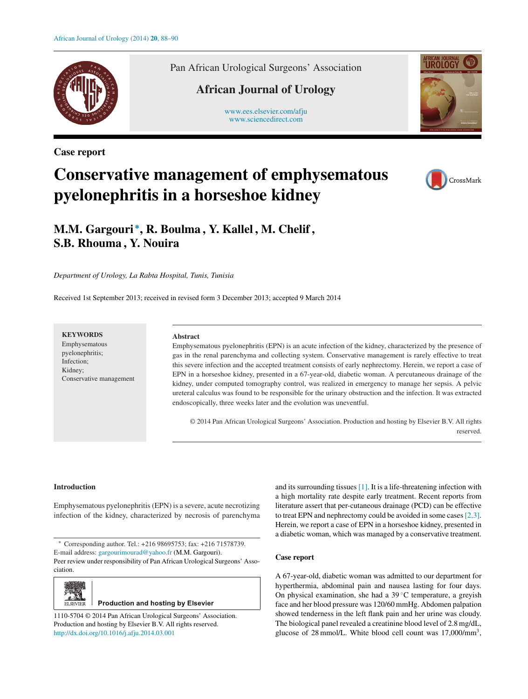

**Case report**

Pan African Urological Surgeons' Association

## **African Journal of Urology**

[www.ees.elsevier.com/afju](http://www.ees.elsevier.com/afju) [www.sciencedirect.com](http://www.sciencedirect.com/science/journal/11105704)



# **Conservative management of emphysematous pyelonephritis in a horseshoe kidney**



## **M.M. Gargouri <sup>∗</sup>, R. Boulma , Y. Kallel , M. Chelif , S.B. Rhouma , Y. Nouira**

*Department of Urology, La Rabta Hospital, Tunis, Tunisia*

Received 1st September 2013; received in revised form 3 December 2013; accepted 9 March 2014

### **KEYWORDS**

Emphysematous pyelonephritis; Infection; Kidney; Conservative management

#### **Abstract**

Emphysematous pyelonephritis (EPN) is an acute infection of the kidney, characterized by the presence of gas in the renal parenchyma and collecting system. Conservative management is rarely effective to treat this severe infection and the accepted treatment consists of early nephrectomy. Herein, we report a case of EPN in a horseshoe kidney, presented in a 67-year-old, diabetic woman. A percutaneous drainage of the kidney, under computed tomography control, was realized in emergency to manage her sepsis. A pelvic ureteral calculus was found to be responsible for the urinary obstruction and the infection. It was extracted endoscopically, three weeks later and the evolution was uneventful.

© 2014 Pan African Urological Surgeons' Association. Production and hosting by Elsevier B.V. All rights reserved.

#### **Introduction**

Emphysematous pyelonephritis (EPN) is a severe, acute necrotizing infection of the kidney, characterized by necrosis of parenchyma

∗ Corresponding author. Tel.: +216 98695753; fax: +216 71578739. E-mail address: [gargourimourad@yahoo.fr](mailto:gargourimourad@yahoo.fr) (M.M. Gargouri). Peer review under responsibility of Pan African Urological Surgeons' Association.



**Production and hosting by Elsevier** 

1110-5704 © 2014 Pan African Urological Surgeons' Association. Production and hosting by Elsevier B.V. All rights reserved. [http://dx.doi.org/10.1016/j.afju.2014.03.001](dx.doi.org/10.1016/j.afju.2014.03.001)

and its surrounding tissues [\[1\]. I](#page-2-0)t is a life-threatening infection with a high mortality rate despite early treatment. Recent reports from literature assert that per-cutaneous drainage (PCD) can be effective to treat EPN and nephrectomy could be avoided in some cases[\[2,3\].](#page-2-0) Herein, we report a case of EPN in a horseshoe kidney, presented in a diabetic woman, which was managed by a conservative treatment.

#### **Case report**

A 67-year-old, diabetic woman was admitted to our department for hyperthermia, abdominal pain and nausea lasting for four days. On physical examination, she had a  $39^{\circ}$ C temperature, a greyish face and her blood pressure was 120/60 mmHg. Abdomen palpation showed tenderness in the left flank pain and her urine was cloudy. The biological panel revealed a creatinine blood level of 2.8 mg/dL, glucose of 28 mmol/L. White blood cell count was 17,000/mm3,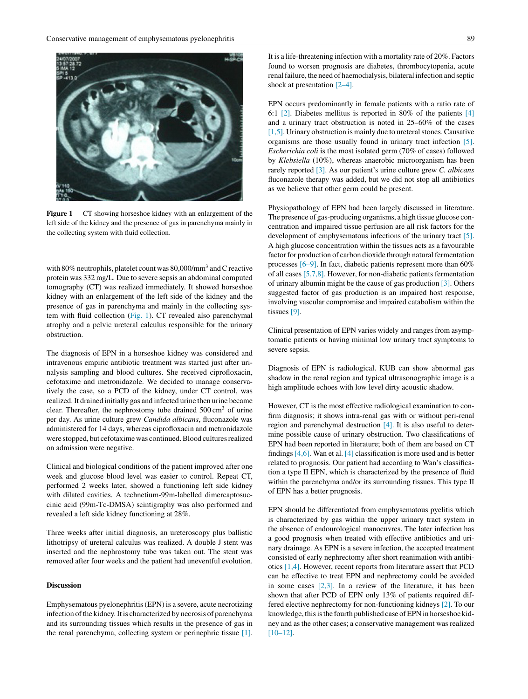

**Figure 1** CT showing horseshoe kidney with an enlargement of the left side of the kidney and the presence of gas in parenchyma mainly in the collecting system with fluid collection.

with 80% neutrophils, platelet count was 80,000/mm<sup>3</sup> and C reactive protein was 332 mg/L. Due to severe sepsis an abdominal computed tomography (CT) was realized immediately. It showed horseshoe kidney with an enlargement of the left side of the kidney and the presence of gas in parenchyma and mainly in the collecting system with fluid collection (Fig. 1). CT revealed also parenchymal atrophy and a pelvic ureteral calculus responsible for the urinary obstruction.

The diagnosis of EPN in a horseshoe kidney was considered and intravenous empiric antibiotic treatment was started just after urinalysis sampling and blood cultures. She received ciprofloxacin, cefotaxime and metronidazole. We decided to manage conservatively the case, so a PCD of the kidney, under CT control, was realized. It drained initially gas and infected urine then urine became clear. Thereafter, the nephrostomy tube drained  $500 \text{ cm}^3$  of urine per day. As urine culture grew *Candida albicans*, fluconazole was administered for 14 days, whereas ciprofloxacin and metronidazole were stopped, but cefotaxime was continued. Blood cultures realized on admission were negative.

Clinical and biological conditions of the patient improved after one week and glucose blood level was easier to control. Repeat CT, performed 2 weeks later, showed a functioning left side kidney with dilated cavities. A technetium-99m-labelled dimercaptosuccinic acid (99m-Tc-DMSA) scintigraphy was also performed and revealed a left side kidney functioning at 28%.

Three weeks after initial diagnosis, an ureteroscopy plus ballistic lithotripsy of ureteral calculus was realized. A double J stent was inserted and the nephrostomy tube was taken out. The stent was removed after four weeks and the patient had uneventful evolution.

#### **Discussion**

Emphysematous pyelonephritis (EPN) is a severe, acute necrotizing infection of the kidney. It is characterized by necrosis of parenchyma and its surrounding tissues which results in the presence of gas in the renal parenchyma, collecting system or perinephric tissue [\[1\].](#page-2-0) It is a life-threatening infection with a mortality rate of 20%. Factors found to worsen prognosis are diabetes, thrombocytopenia, acute renal failure, the need of haemodialysis, bilateral infection and septic shock at presentation [\[2–4\].](#page-2-0)

EPN occurs predominantly in female patients with a ratio rate of 6:1 [\[2\].](#page-2-0) Diabetes mellitus is reported in 80% of the patients [\[4\]](#page-2-0) and a urinary tract obstruction is noted in 25–60% of the cases  $[1,5]$ . Urinary obstruction is mainly due to ureteral stones. Causative organisms are those usually found in urinary tract infection [\[5\].](#page-2-0) *Escherichia coli* is the most isolated germ (70% of cases) followed by *Klebsiella* (10%), whereas anaerobic microorganism has been rarely reported [\[3\].](#page-2-0) As our patient's urine culture grew *C. albicans* fluconazole therapy was added, but we did not stop all antibiotics as we believe that other germ could be present.

Physiopathology of EPN had been largely discussed in literature. The presence of gas-producing organisms, a high tissue glucose concentration and impaired tissue perfusion are all risk factors for the development of emphysematous infections of the urinary tract [\[5\].](#page-2-0) A high glucose concentration within the tissues acts as a favourable factor for production of carbon dioxide through natural fermentation processes [\[6–9\]. I](#page-2-0)n fact, diabetic patients represent more than 60% of all cases [\[5,7,8\]. H](#page-2-0)owever, for non-diabetic patients fermentation of urinary albumin might be the cause of gas production [\[3\]. O](#page-2-0)thers suggested factor of gas production is an impaired host response, involving vascular compromise and impaired catabolism within the tissues [\[9\].](#page-2-0)

Clinical presentation of EPN varies widely and ranges from asymptomatic patients or having minimal low urinary tract symptoms to severe sepsis.

Diagnosis of EPN is radiological. KUB can show abnormal gas shadow in the renal region and typical ultrasonographic image is a high amplitude echoes with low level dirty acoustic shadow.

However, CT is the most effective radiological examination to confirm diagnosis; it shows intra-renal gas with or without peri-renal region and parenchymal destruction [\[4\].](#page-2-0) It is also useful to determine possible cause of urinary obstruction. Two classifications of EPN had been reported in literature; both of them are based on CT findings [\[4,6\]. W](#page-2-0)an et al. [\[4\]](#page-2-0) classification is more used and is better related to prognosis. Our patient had according to Wan's classification a type II EPN, which is characterized by the presence of fluid within the parenchyma and/or its surrounding tissues. This type II of EPN has a better prognosis.

EPN should be differentiated from emphysematous pyelitis which is characterized by gas within the upper urinary tract system in the absence of endourological manoeuvres. The later infection has a good prognosis when treated with effective antibiotics and urinary drainage. As EPN is a severe infection, the accepted treatment consisted of early nephrectomy after short reanimation with antibiotics [\[1,4\]. H](#page-2-0)owever, recent reports from literature assert that PCD can be effective to treat EPN and nephrectomy could be avoided in some cases  $[2,3]$ . In a review of the literature, it has been shown that after PCD of EPN only 13% of patients required differed elective nephrectomy for non-functioning kidneys [\[2\]. T](#page-2-0)o our knowledge, this is the fourth published case of EPN in horseshoe kidney and as the other cases; a conservative management was realized [\[10–12\].](#page-2-0)